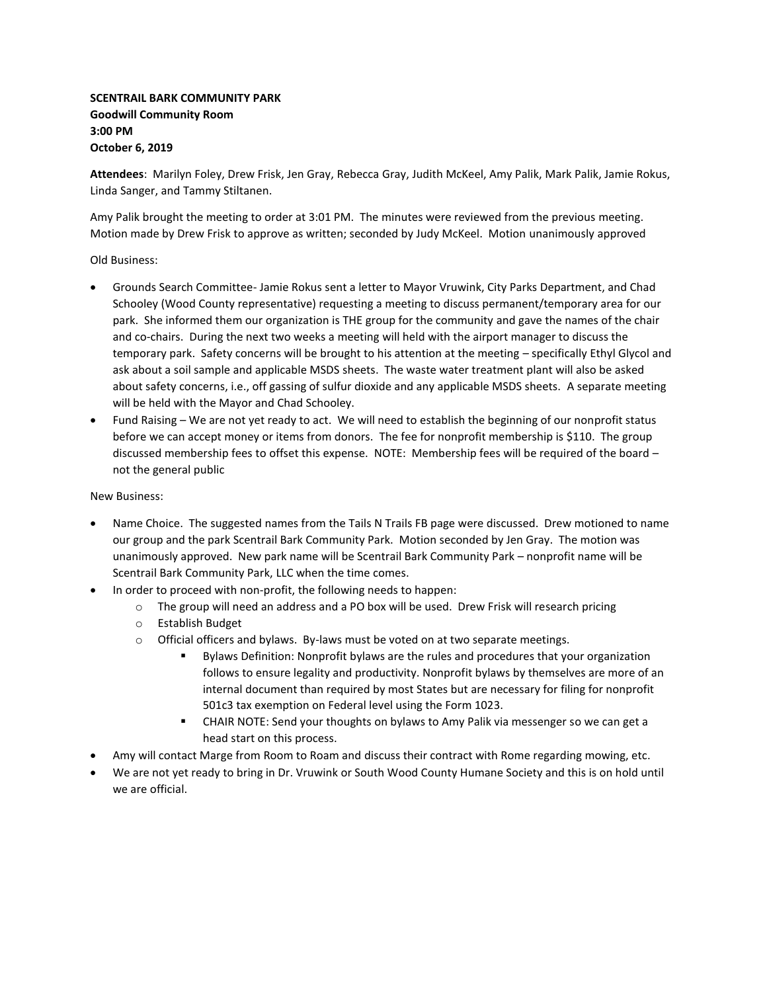## **SCENTRAIL BARK COMMUNITY PARK Goodwill Community Room 3:00 PM October 6, 2019**

**Attendees**: Marilyn Foley, Drew Frisk, Jen Gray, Rebecca Gray, Judith McKeel, Amy Palik, Mark Palik, Jamie Rokus, Linda Sanger, and Tammy Stiltanen.

Amy Palik brought the meeting to order at 3:01 PM. The minutes were reviewed from the previous meeting. Motion made by Drew Frisk to approve as written; seconded by Judy McKeel. Motion unanimously approved

Old Business:

- Grounds Search Committee- Jamie Rokus sent a letter to Mayor Vruwink, City Parks Department, and Chad Schooley (Wood County representative) requesting a meeting to discuss permanent/temporary area for our park. She informed them our organization is THE group for the community and gave the names of the chair and co-chairs. During the next two weeks a meeting will held with the airport manager to discuss the temporary park. Safety concerns will be brought to his attention at the meeting – specifically Ethyl Glycol and ask about a soil sample and applicable MSDS sheets. The waste water treatment plant will also be asked about safety concerns, i.e., off gassing of sulfur dioxide and any applicable MSDS sheets. A separate meeting will be held with the Mayor and Chad Schooley.
- Fund Raising We are not yet ready to act. We will need to establish the beginning of our nonprofit status before we can accept money or items from donors. The fee for nonprofit membership is \$110. The group discussed membership fees to offset this expense. NOTE: Membership fees will be required of the board – not the general public

## New Business:

- Name Choice. The suggested names from the Tails N Trails FB page were discussed. Drew motioned to name our group and the park Scentrail Bark Community Park. Motion seconded by Jen Gray. The motion was unanimously approved. New park name will be Scentrail Bark Community Park – nonprofit name will be Scentrail Bark Community Park, LLC when the time comes.
- In order to proceed with non-profit, the following needs to happen:
	- o The group will need an address and a PO box will be used. Drew Frisk will research pricing
	- o Establish Budget
	- o Official officers and bylaws. By-laws must be voted on at two separate meetings.
		- Bylaws Definition: Nonprofit bylaws are the rules and procedures that your organization follows to ensure legality and productivity. Nonprofit bylaws by themselves are more of an internal document than required by most States but are necessary for filing for nonprofit 501c3 tax exemption on Federal level using the Form 1023.
		- CHAIR NOTE: Send your thoughts on bylaws to Amy Palik via messenger so we can get a head start on this process.
- Amy will contact Marge from Room to Roam and discuss their contract with Rome regarding mowing, etc.
- We are not yet ready to bring in Dr. Vruwink or South Wood County Humane Society and this is on hold until we are official.